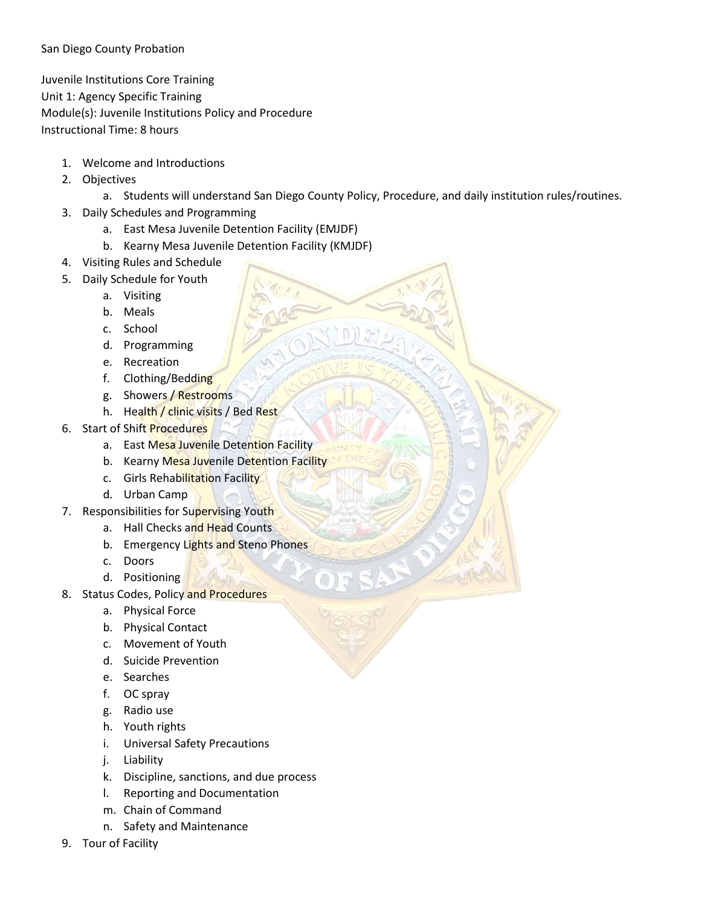## San Diego County Probation

Juvenile Institutions Core Training Unit 1: Agency Specific Training Module(s): Juvenile Institutions Policy and Procedure Instructional Time: 8 hours

- 1. Welcome and Introductions
- 2. Objectives
	- a. Students will understand San Diego County Policy, Procedure, and daily institution rules/routines.
- 3. Daily Schedules and Programming
	- a. East Mesa Juvenile Detention Facility (EMJDF)
	- b. Kearny Mesa Juvenile Detention Facility (KMJDF)
- 4. Visiting Rules and Schedule
- 5. Daily Schedule for Youth
	- a. Visiting
	- b. Meals
	- c. School
	- d. Programming
	- e. Recreation
	- f. Clothing/Bedding
	- g. Showers / Restrooms
	- h. Health / clinic visits / Bed Rest
- 6. Start of Shift Procedures
	- a. East Mesa Juvenile Detention Facility
	- b. Kearny Mesa Juvenile Detention Facility
	- c. Girls Rehabilitation Facility
	- d. Urban Camp
- 7. Responsibilities for Supervising Youth
	- a. Hall Checks and Head Counts
	- b. Emergency Lights and Steno Phones
	- c. Doors
	- d. Positioning
- 8. Status Codes, Policy and Procedures
	- a. Physical Force
	- b. Physical Contact
	- c. Movement of Youth
	- d. Suicide Prevention
	- e. Searches
	- f. OC spray
	- g. Radio use
	- h. Youth rights
	- i. Universal Safety Precautions
	- j. Liability
	- k. Discipline, sanctions, and due process
	- l. Reporting and Documentation
	- m. Chain of Command
	- n. Safety and Maintenance
- 9. Tour of Facility